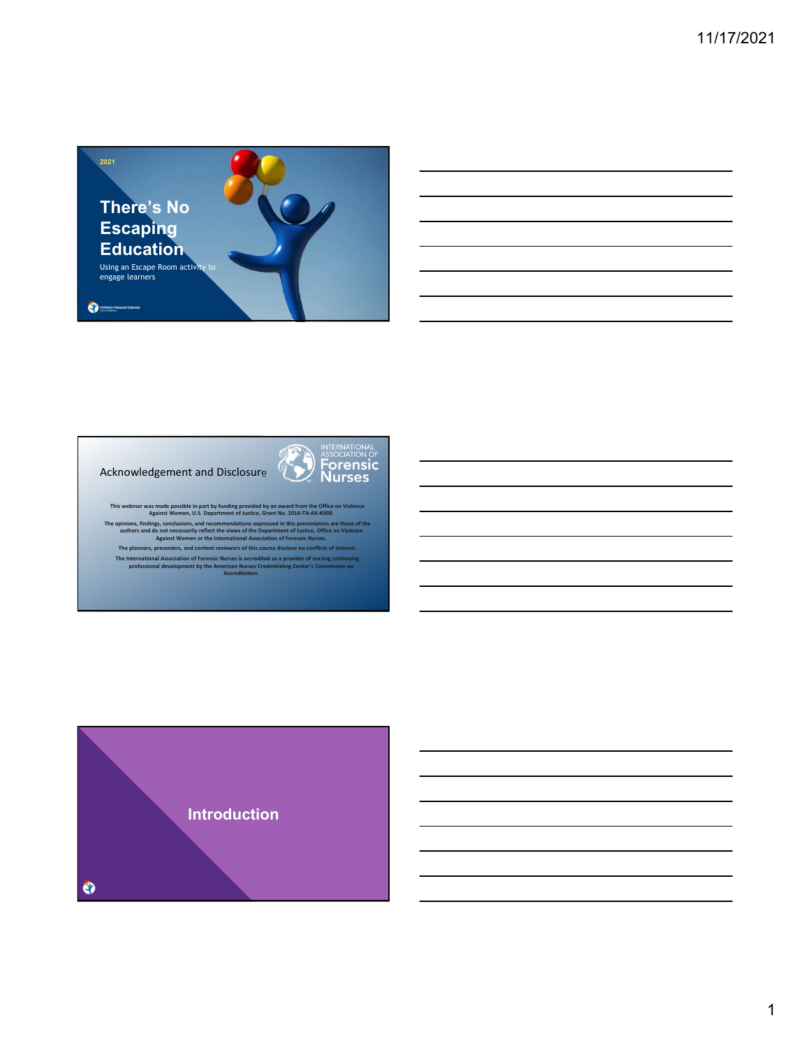



This webinar was made possible in part by funding provided by an award from the Office on Violence<br>Against Women, U.S. Department of Justice, Grant No. 2016-TA-AX-K008. The opinions, findings, conclusions, and recommendations expressed in this presentation are those of the<br>authors and do not necessarily reflect the views of the Department of Justice, Office on Violence<br>Against Women or th

The planners, presenters, and content reviewers of this course disclose no conflicts of interest.<br>The International Association of Forensic Nurses is accredited as a provider of nursing continuing<br>professional development

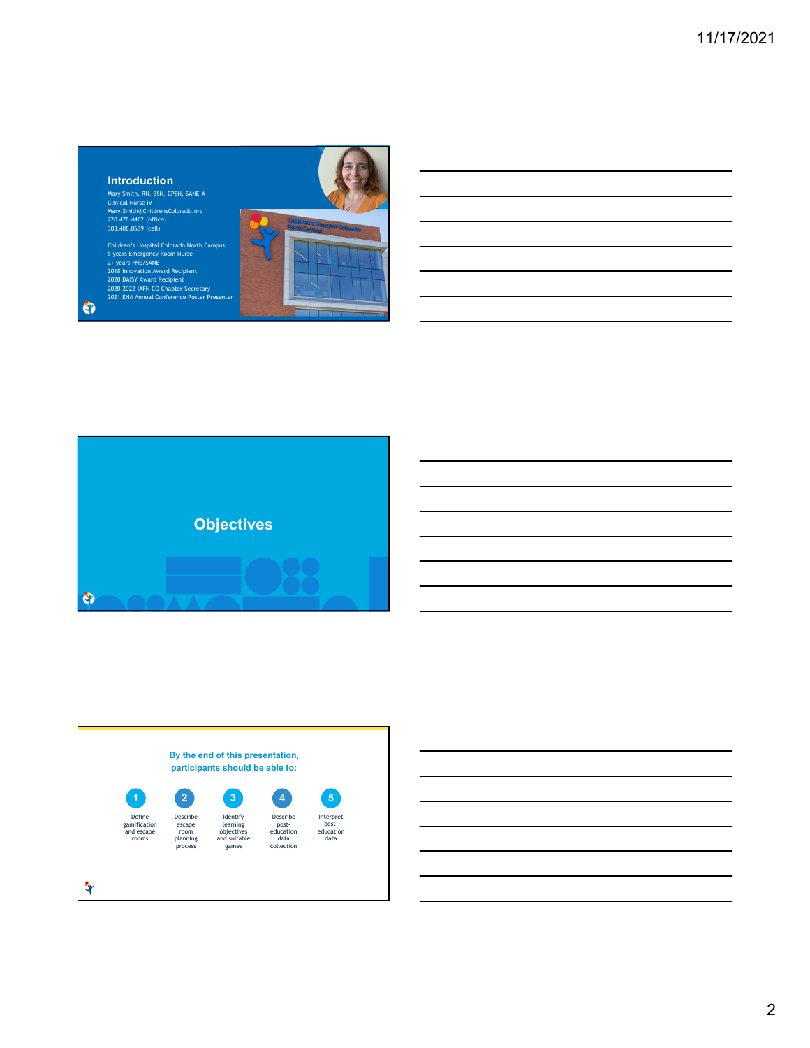# **Introduction**

 $\bullet$ 

Mary Smith, RN, BSN, CPEN, SANE-A<br>Clinical Nurse IV<br>Mary.Smith@ChildrensColorado.org<br>720.478.4462 (office)<br>303.408.0639 (cell)

Children's Hospital Colorado North Campus<br>5 years Emergency Room Nurse<br>2+ years FNE/SANE<br>2018 Innovation Award Recipient<br>2020 DAISY Award Recipient<br>2020-2022 IAFN Condapter Secretary<br>2021 ENA Annual Conference Poster Prese







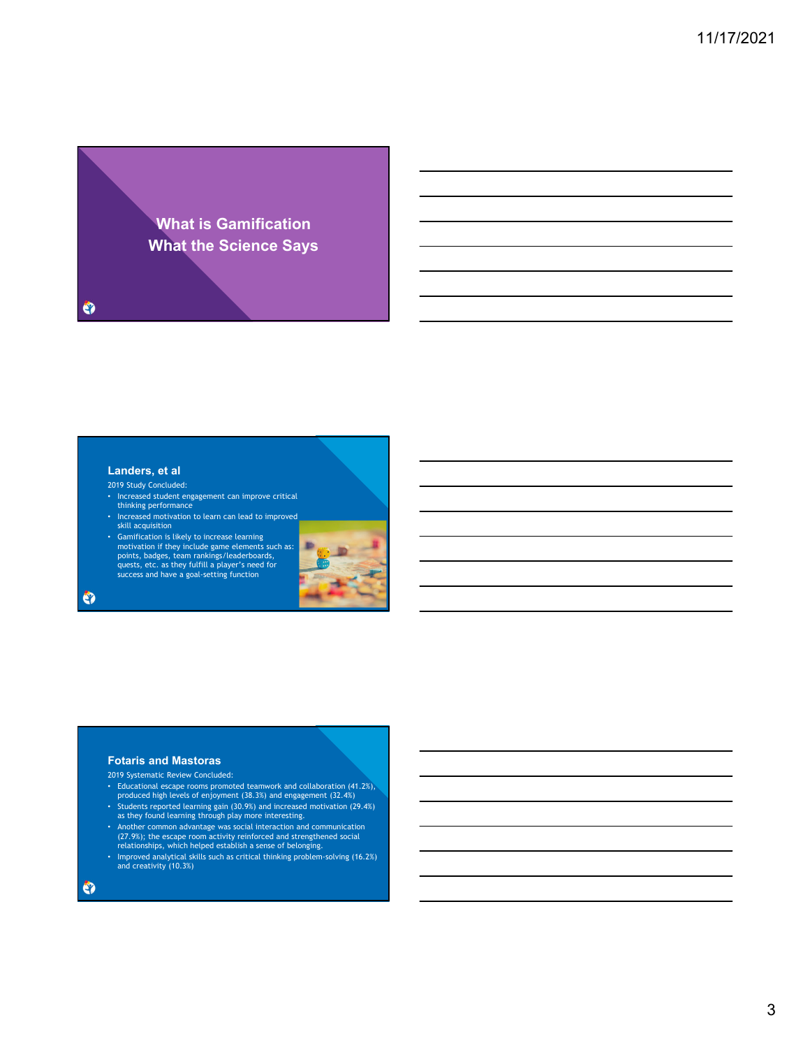

# **Landers, et al**

2019 Study Concluded:

- Increased student engagement can improve critical thinking performance
- Increased motivation to learn can lead to improved skill acquisition
- Gamification is likely to increase learning<br>motivation if they include game elements such as:<br>points, badges, team rankings/leaderboards,<br>quests, etc. as they fulfill a player's need for<br>success and have a goal-setting



## **Fotaris and Mastoras**

2019 Systematic Review Concluded:

- Educational escape rooms promoted teamwork and collaboration (41.2%), produced high levels of enjoyment (38.3%) and engagement (32.4%) • Students reported learning gain (30.9%) and increased motivation (29.4%) as they found learning through play more interesting.
- Another common advantage was social interaction and communication (27.9%); the escape room activity reinforced and strengthened social relationships, which helped establish a sense of belonging.
- Improved analytical skills such as critical thinking problem-solving (16.2%) and creativity (10.3%)

 $\bullet$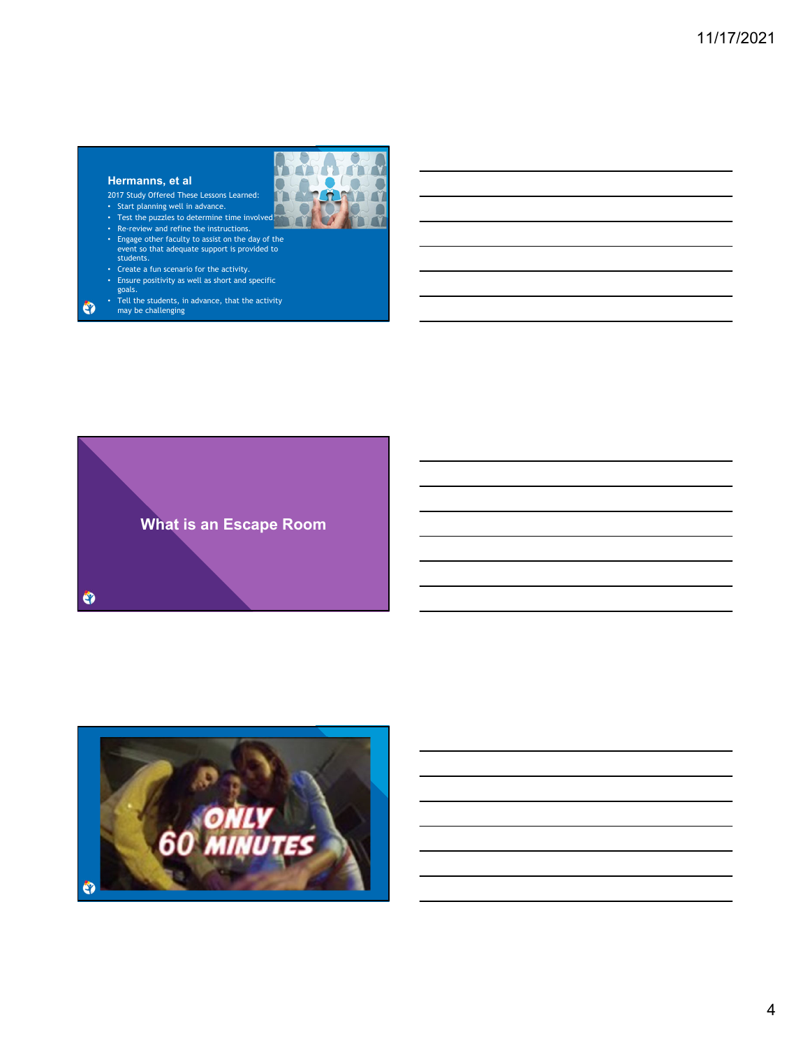# **Hermanns, et al**

 $\bullet$ 

2017 Study Offered These Lessons Learned:



- Start planning well in advance. • Test the puzzles to determine time involved.
- Re-review and refine the instructions.
- Engage other faculty to assist on the day of the event so that adequate support is provided to students.
- Create a fun scenario for the activity.
- Ensure positivity as well as short and specific goals.
- Tell the students, in advance, that the activity may be challenging

**What is an Escape Room**  $\bullet$ 

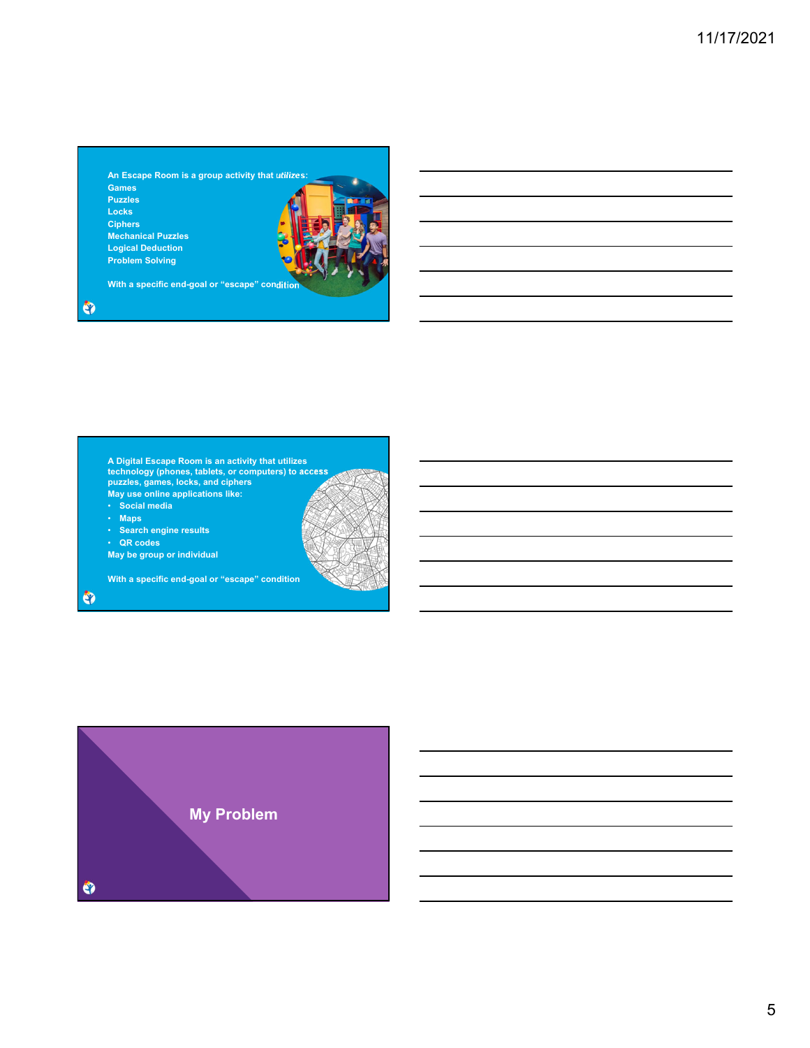**An Escape Room is a group activity that utilizes: Games Puzzles Locks Ciphers Mechanical Puzzles Logical Deduction Problem Solving**

• **Search engine results**

**May be group or individual** 

**With a specific end-goal or "escape" condition**

• **QR codes**

 $\bullet$ 

 $\bullet$ 

**A Digital Escape Room is an activity that utilizes technology (phones, tablets, or computers) to access puzzles, games, locks, and ciphers May use online applications like:** • **Social media** • **Maps**

**With a specific end-goal or "escape" condition**

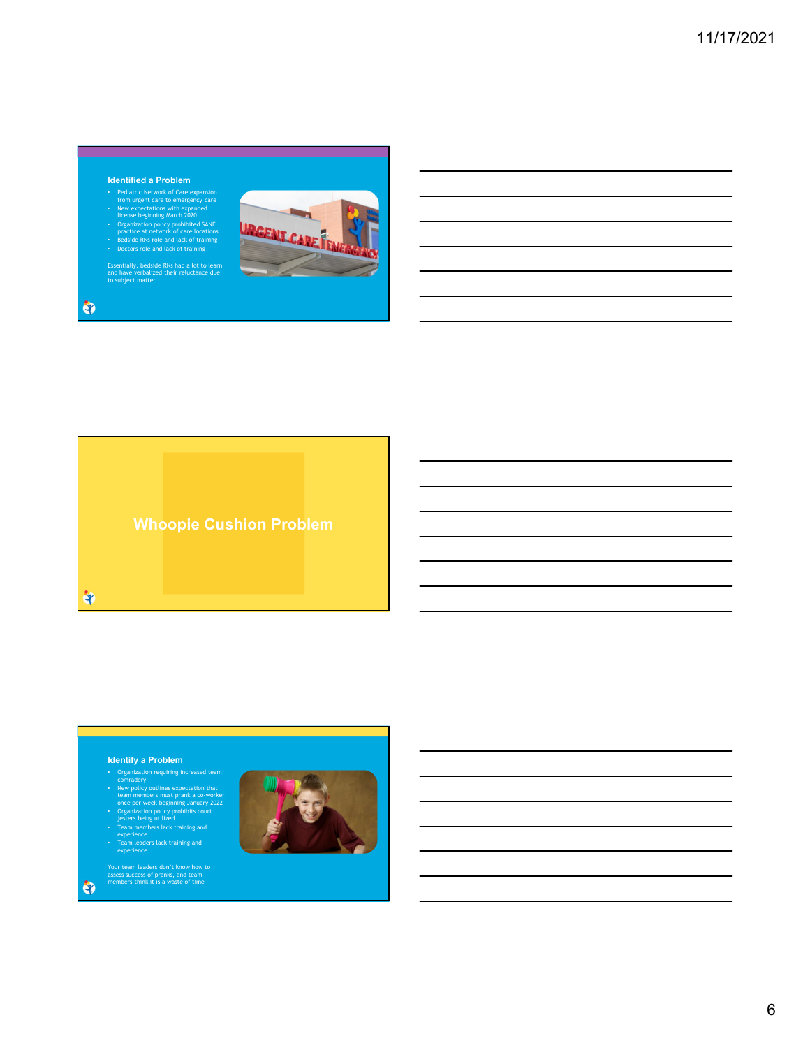## **Identified a Problem**

- Pediatric Network of Care expansion<br>from urgent care to emergency care<br>there been expanded the expansion with expanded<br>to conganization policy prohibited SANE<br>practice at network of care locations<br>• Beside RNs role and l
- 
- 

Essentially, bedside RNs had a lot to learn and have verbalized their reluctance due to subject matter





**Whoopie Cushion Problem**

<u> 1989 - Johann Harry Barn, mars ar brening ar yn y brening yn y brening yn y brening yn y brening yn y brening </u>

iq.

# **Identify a Problem**

- 
- Organization requiring increased team<br>
contradery<br>
New policy outlines expectation that<br>
team members must prank a co-worker<br>
once per week beginning January 2022<br>
Organization policy prohibits court<br>
Jesters being utilize
- 
- 
- 

Your team leaders don't know how to assess success of pranks, and team members think it is a waste of time



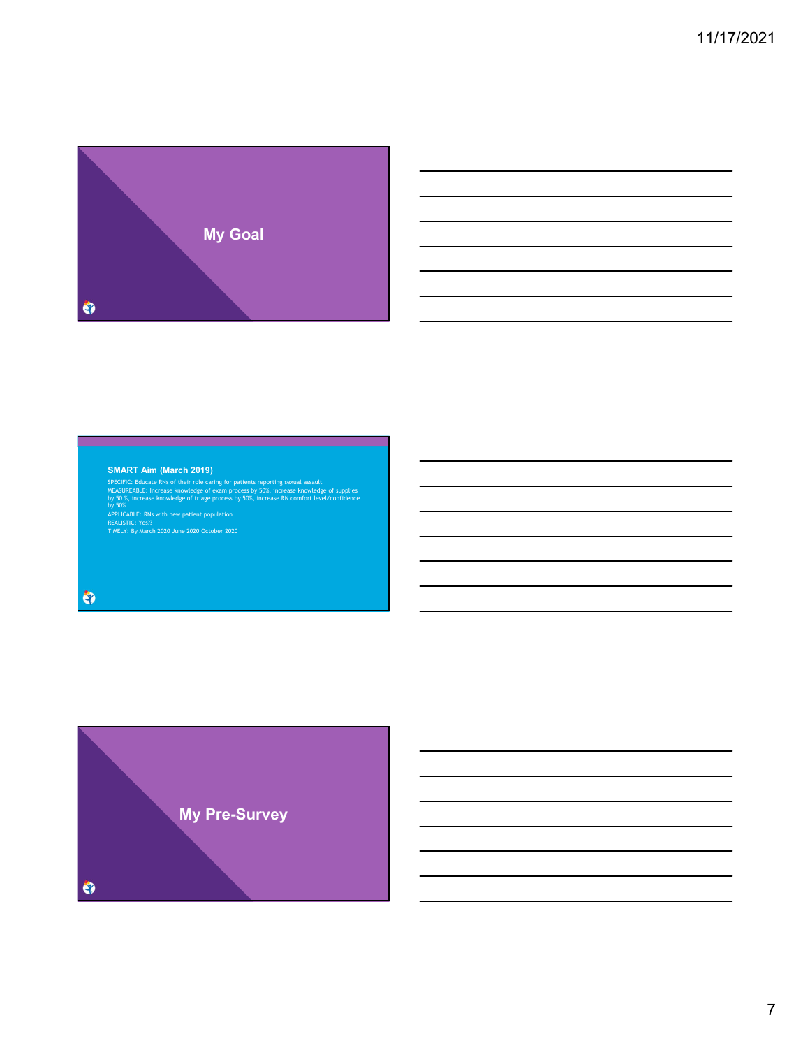

### **SMART Aim (March 2019)**

SPECIFIC: Educate RNs of their role caring for patients reporting sexual assault<br>MEASUREABLE: Increase knowledge of exam process by 50%, increase knowledge of supplies<br>by 50%, increase knowledge of trage process by 50%, in

the control of the control of the control of the control of the control of

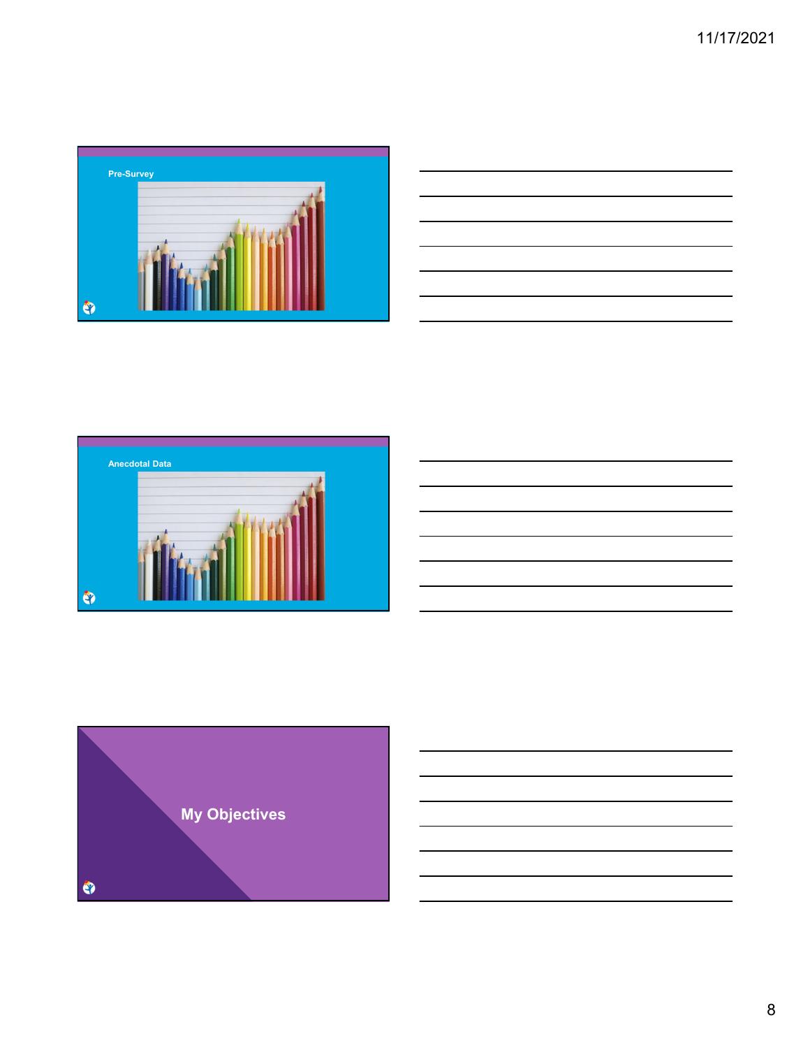

| <u> 1988 - Johann Stoff, amerikansk foarmen fan de Fryske kommunent fan de Fryske kommunent fan de Fryske kommun</u> |  |     |
|----------------------------------------------------------------------------------------------------------------------|--|-----|
|                                                                                                                      |  |     |
| and the contract of the contract of the contract of the contract of the contract of the contract of the contract of  |  | ___ |
|                                                                                                                      |  |     |
| <u> Andreas Andreas Andreas Andreas Andreas Andreas Andreas Andreas Andreas Andreas Andreas Andreas Andreas Andr</u> |  |     |
| and the contract of the contract of the contract of the contract of the contract of the contract of the contract of  |  |     |
| the contract of the contract of the contract of the contract of the contract of                                      |  |     |
|                                                                                                                      |  |     |



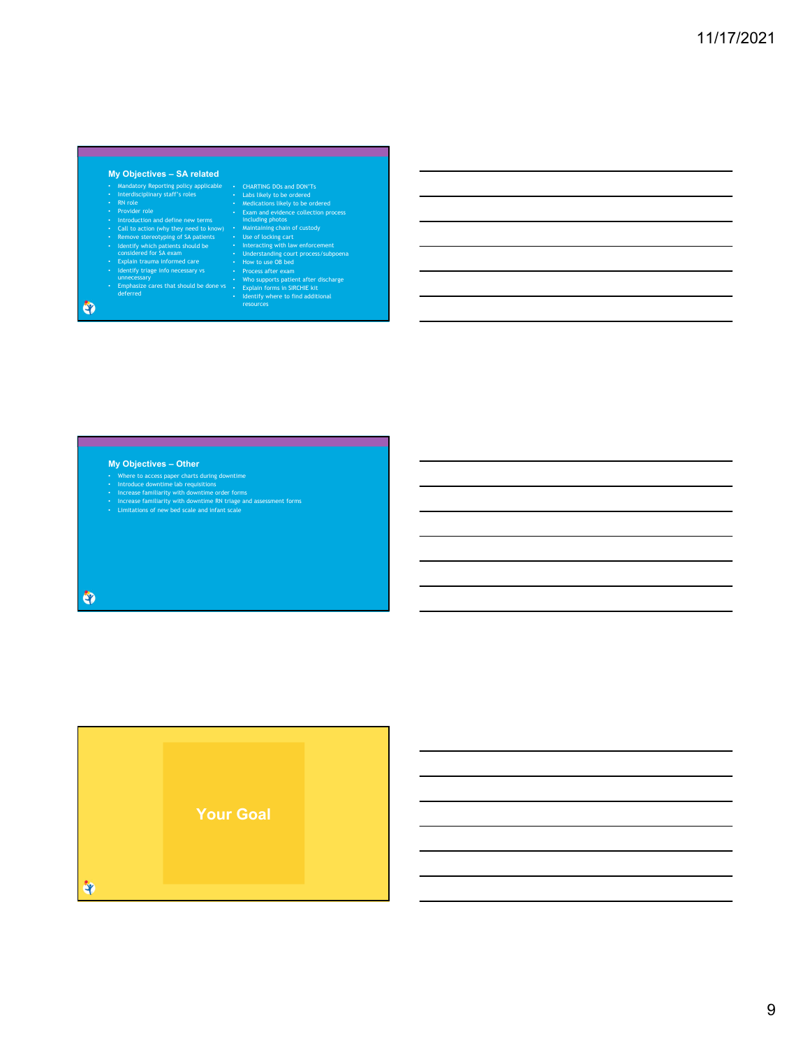## **My Objectives – SA related**

- 
- 
- 
- 
- -
- Mandatory Reporting policy applicable<br>• Riverdisciplinary staff's roles<br>• Riv role<br>• Provider role<br>• Provider role<br>• Latroduction and define new terms<br>• Call to action (why they need to know)<br>• Remove stereotyping of SA
- 
- 

• CHARTNIC Dos and DON'Ts<br>
• Labs likely to be ordered<br>
• Medications likely to be ordered<br>
• Medications likely to be ordered<br>
• Manitalning photos<br>
• Manitalning chains of custody<br>
• Use of locking cant<br>
• Interacting wi

- 
- 
- 
- 
- 
- 

 $\bullet$ 

# **My Objectives – Other**

- 
- 
- Where to access paper charts during downtime<br>• Introduce downtime lab requisitions<br>• Increase familiarity with downtime order forms<br>• Increase familiarity with downtime RN triage and assessment forms<br>• Limitations of new

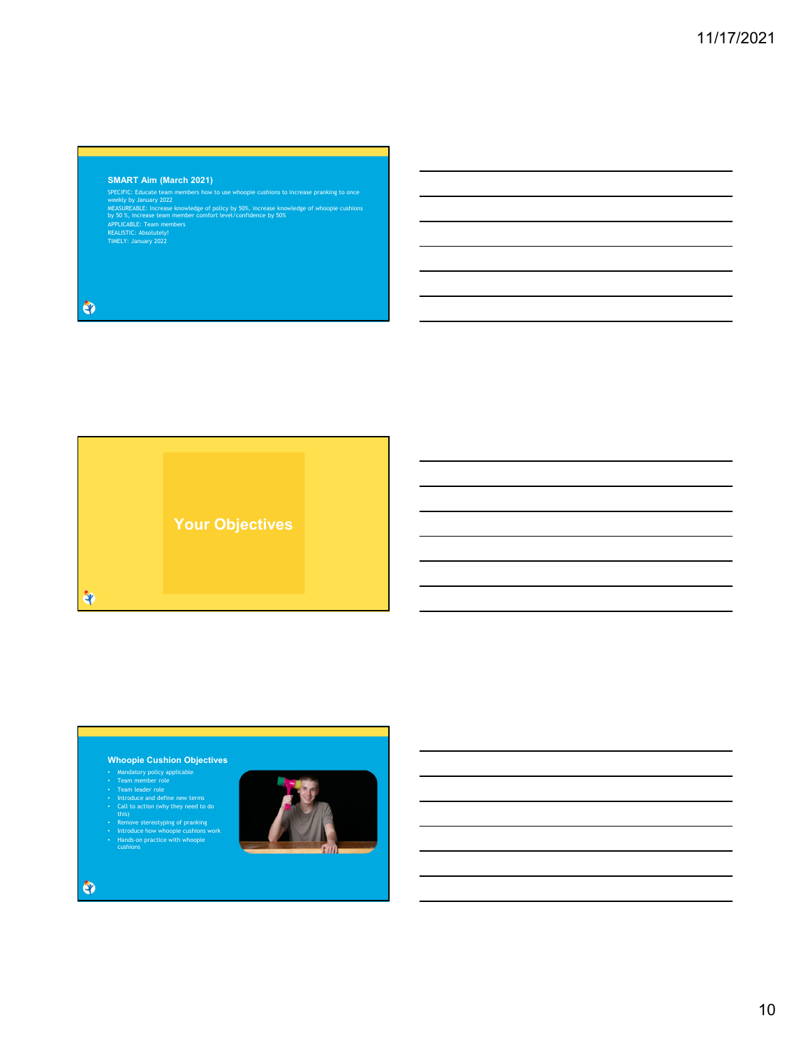# **SMART Aim (March 2021)**

SPECIFIC: Educate team members how to use whoopie cushions to increase pranking to once<br>weekly by January 2022<br>MEASUREABLE: Increase knowledge of policy by 50%, increase knowledge of whoopie cushions<br>by 50 %, increase team

 $\bullet$ 



## **Whoopie Cushion Objectives**

- 
- 
- 
- 
- Mandatory policy applicable<br>• Team nember role<br>• Team leader role<br>• Introduce and define new terms<br>• Call to action (why they need to do<br>• Handa-<br>• Introduce how whoopie cushions work<br>• Hands-on practice with whoopie<br>• H

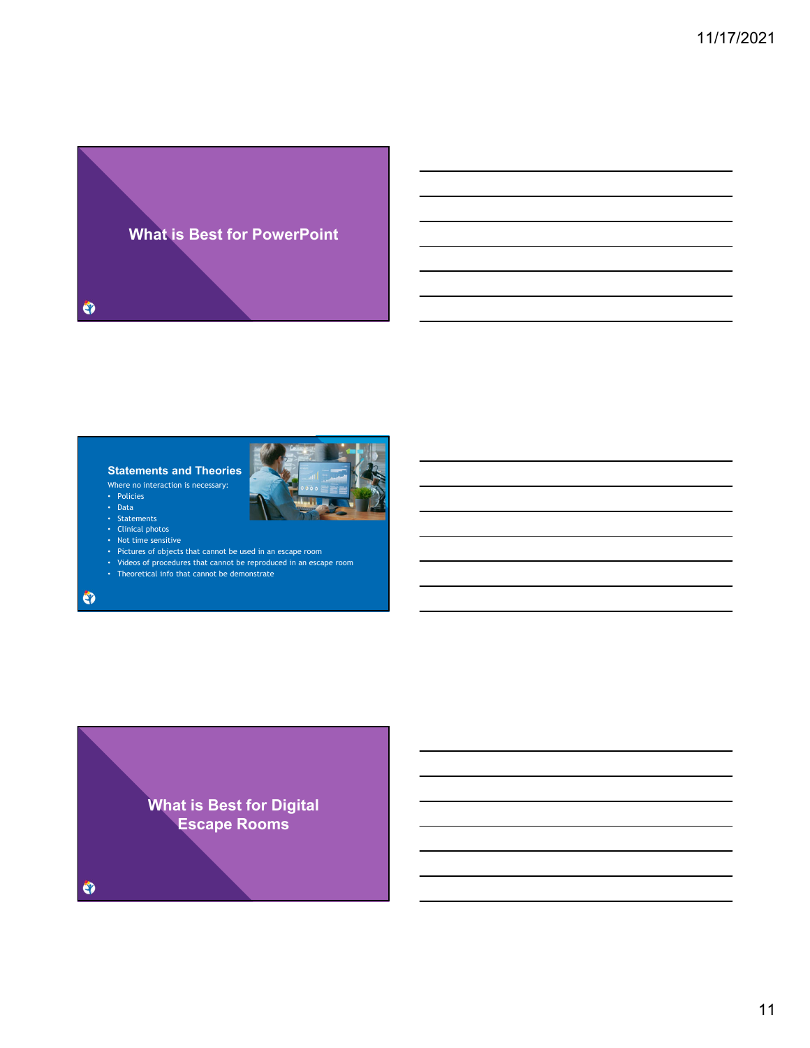

# **Statements and Theories**

Where no interaction is necessary:

- Policies
- Data
- Statements • Clinical photos
- Not time sensitive
- Pictures of objects that cannot be used in an escape room
- Videos of procedures that cannot be reproduced in an escape room
- Theoretical info that cannot be demonstrate

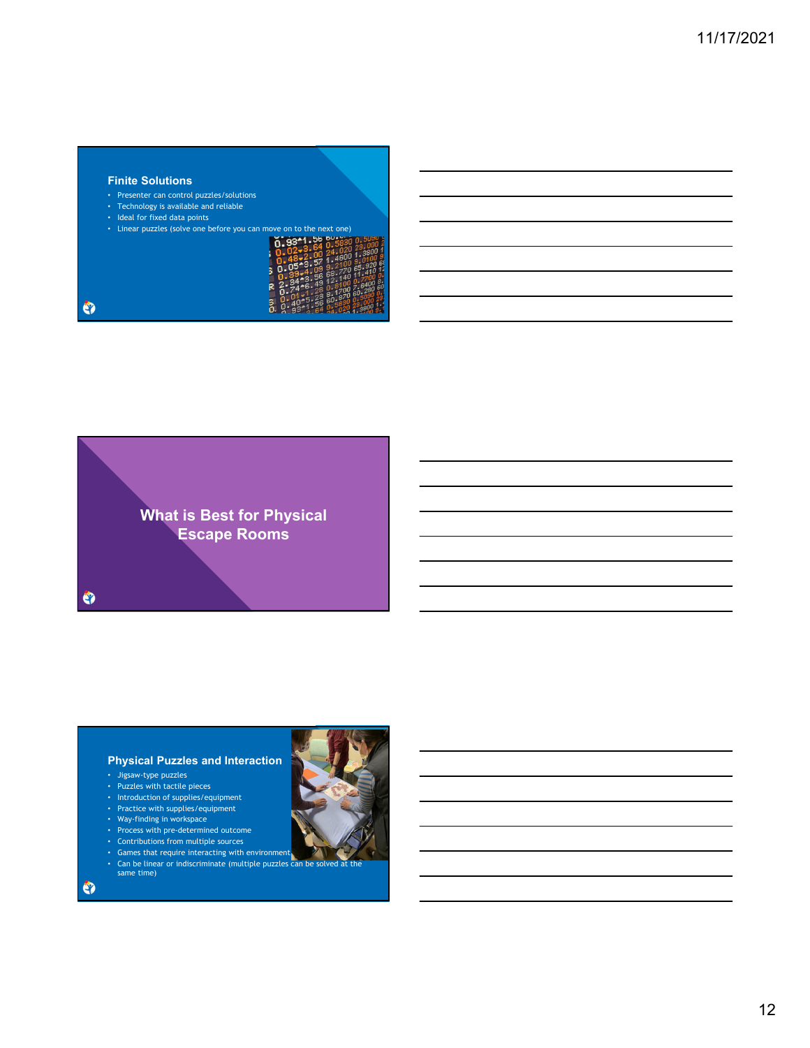## **Finite Solutions**

- Presenter can control puzzles/solutions
- Technology is available and reliable
- Ideal for fixed data points

| ò. | Linear puzzles (solve one before you can move on to the next one) |  |  |  |  |  |  |  |
|----|-------------------------------------------------------------------|--|--|--|--|--|--|--|
|    |                                                                   |  |  |  |  |  |  |  |

 $\bullet$ 



# **Physical Puzzles and Interaction**

- Jigsaw-type puzzles
- Puzzles with tactile pieces
- Introduction of supplies/equipment
- Practice with supplies/equipment
- Way-finding in workspace
- Process with pre-determined outcome
- Contributions from multiple sources
- Games that require interacting with environment
- same time)

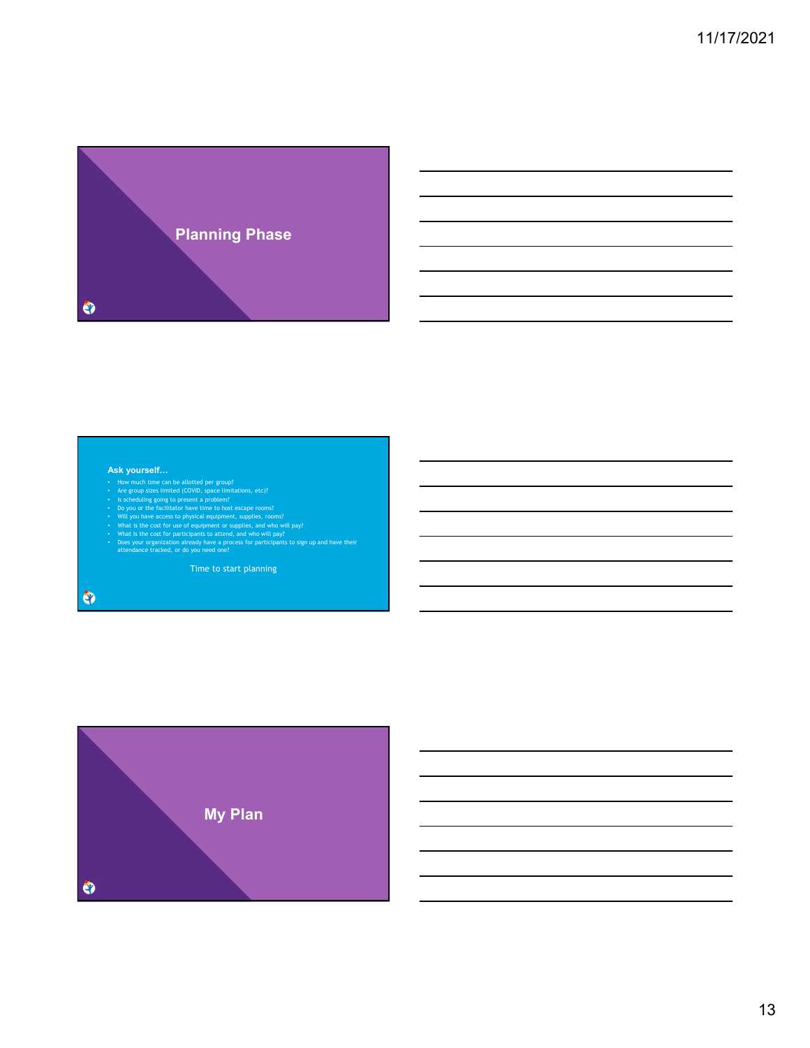

- 
- 
- 
- 
- 
- **Ask yourself...**<br>
 How much time can be allotted per group?<br>
 Is scheeduing going to present a problem?<br>
 Is scheeduing going to present a problem?<br>
 Will you have access to physical equipment, supplies, rooms?<br>
 Wil

Time to start planning

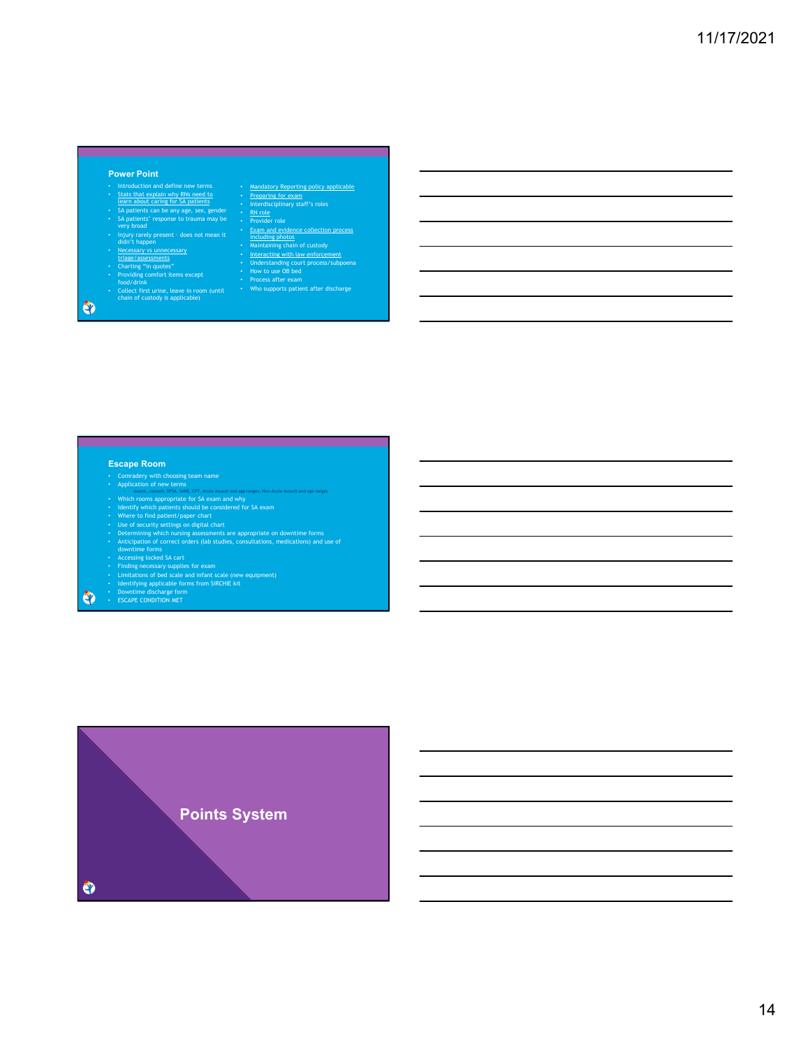# **Power Point**

- 
- 
- Introduction and define new terms<br>
 Statistical and define new terms<br>
 Statistical and Southern and The Statistical<br>
 SA patients' response to trauma may be<br>
 Thjury rarely present does not mean it<br>
 Highy rarely
- 
- 
- 
- 
- $\frac{1}{\cosh(\frac{\pi}{2})}$  cod/drink<br>Collect first urine, leave in room (until<br>chain of custody is applicable)

 $\bullet$ 

<u> 1989 - An Dùbhlachd ann an Dùbhlachd ann an Dùbhlachd ann an Dùbhlachd ann an Dùbhlachd ann an Dùbhlachd ann </u>

- 
- <u>Mandatory Reporting policy applicable</u><br>• <u>Preparing for exam</u><br>• Interdisciplinary staff's roles<br>• Provider role<br>• Provider role<br>• <u>Mandatory</u> and evidence collection process<br>• Manitalaring chain of custody<br>• Understandi
- 

# **Escape Room**

- 
- 
- 
- 
- 
- Conradery with choosing team name<br>
 Conradery with choosing team name<br>
 Which rooms appropriate for SA exam and why<br>
 Henri rooms appropriate for SA exam and why<br>
 Henrify which pattents should be considered for SA e
- 
- 
- 
- 
- $\bullet$

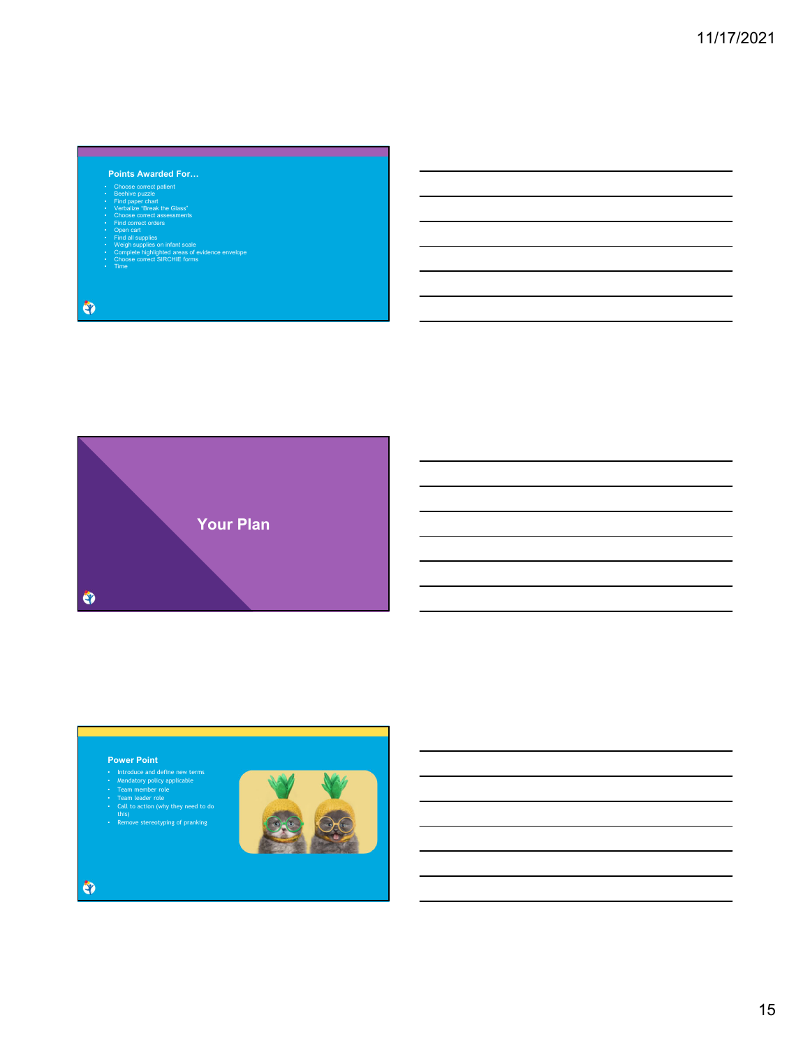# **Points Awarded For…**

- 
- 
- 
- 
- 
- 
- Choose correct patient<br>• Seable operated patient<br>• Verbalize 'Break the Glass'<br>• Choose correct assessments<br>• Choose correct assessments<br>• Open cart<br>• Weigh supplies on infant scale<br>• Complete highlighted areas of eviden
- 

 $\bullet$ 



<u> 1989 - Johann Stein, marwolaethau a bh</u>

## **Power Point**

- 
- 
- 
- Introduce and define new terms<br>• Mandatory policy applicable<br>• Team member role<br>• Call to action (why they need to do<br>• this)<br>• Remove stereotyping of pranking
- 

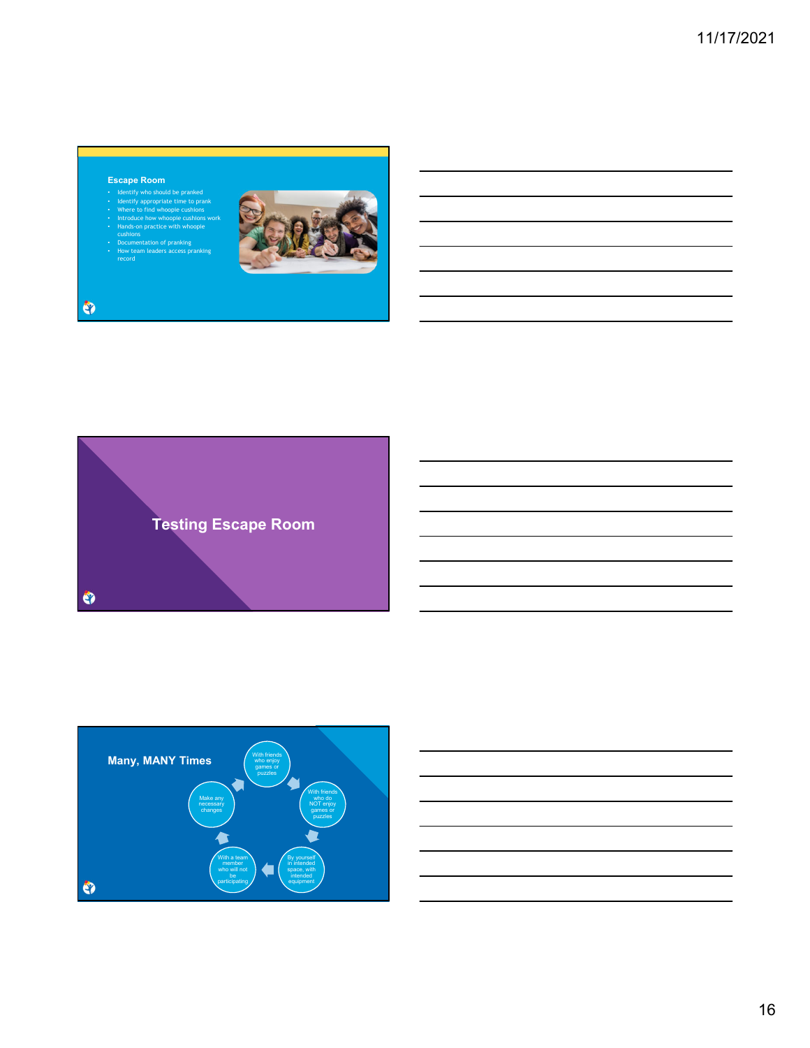# **Escape Room**

record

- Identify who should be pranked Identify appropriate time to prank Where to find whoopie cushions Introduce how whoopie cushions work
- 
- Hands-on practice with whoopie cushions
- Documentation of pranking How team leaders access pranking







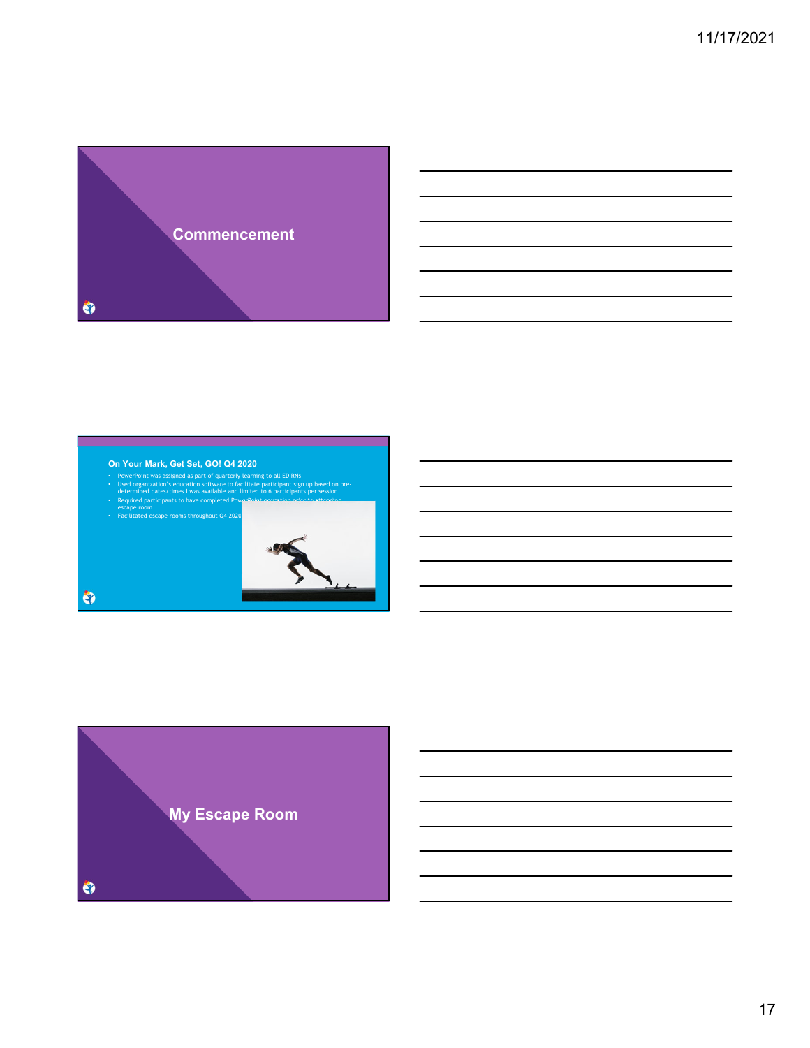

## **On Your Mark, Get Set, GO! Q4 2020**

- PowerPoint was assigned as part of quarterly learning to all ED RNs Used organization's education software to facilitate participant sign up based on pre-
- determined dates/times I was available and limited to 6 participants per session<br>• Required participants to have completed PowerPoint education prior to attending

the control of the control of the control of the control of the control of

escape room • Facilitated escape rooms throughout Q4 2020



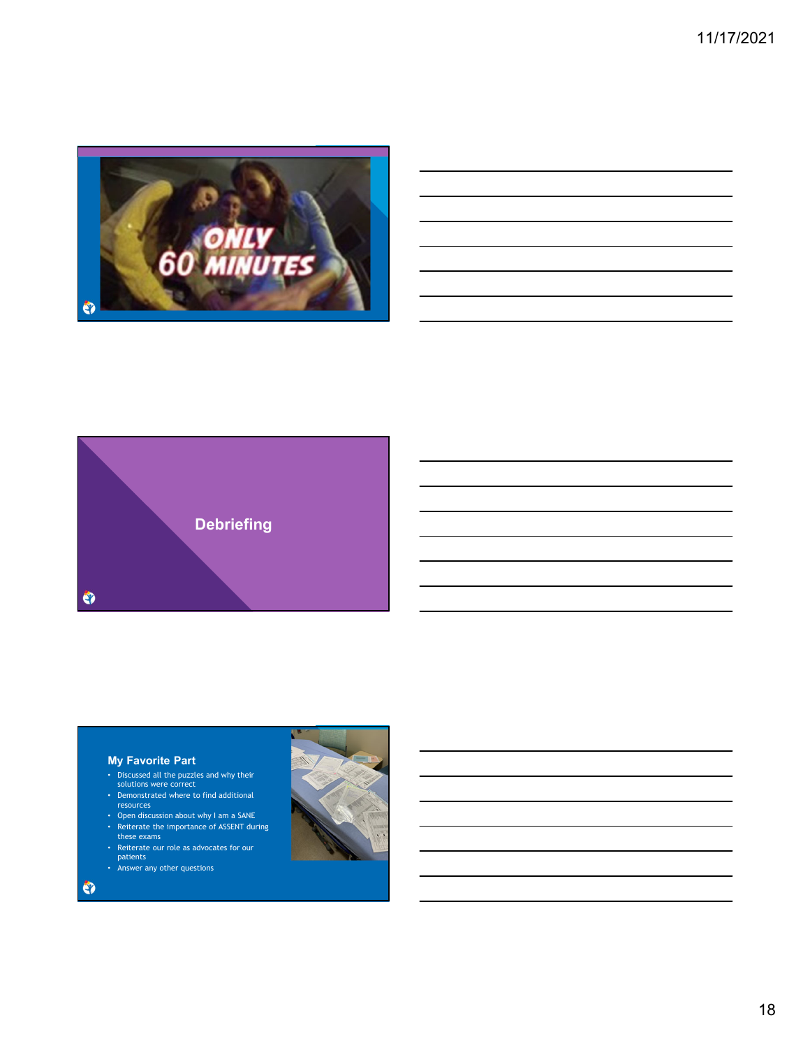11/17/2021







# **My Favorite Part**

- Discussed all the puzzles and why their solutions were correct
- Demonstrated where to find additional resources
- Open discussion about why I am a SANE
- Reiterate the importance of ASSENT during these exams
- Reiterate our role as advocates for our patients
- Answer any other questions

 $\bullet$ 

18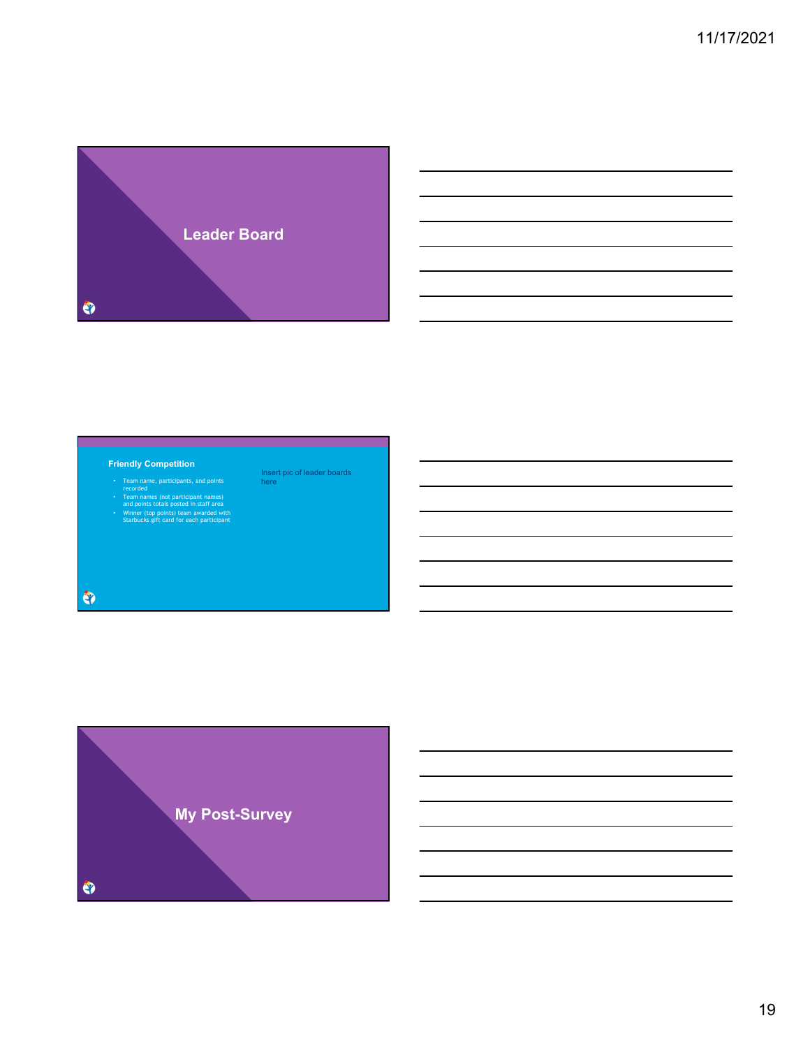

the control of the control of the control of the control of the control of

Insert pic of leader boards here

### **Friendly Competition**

- 
- Team name, participants, and points recorded Team names (not participant names) and points totals posted in staff area Winner (top points) team awarded with Starbucks gift card for each participant
- 

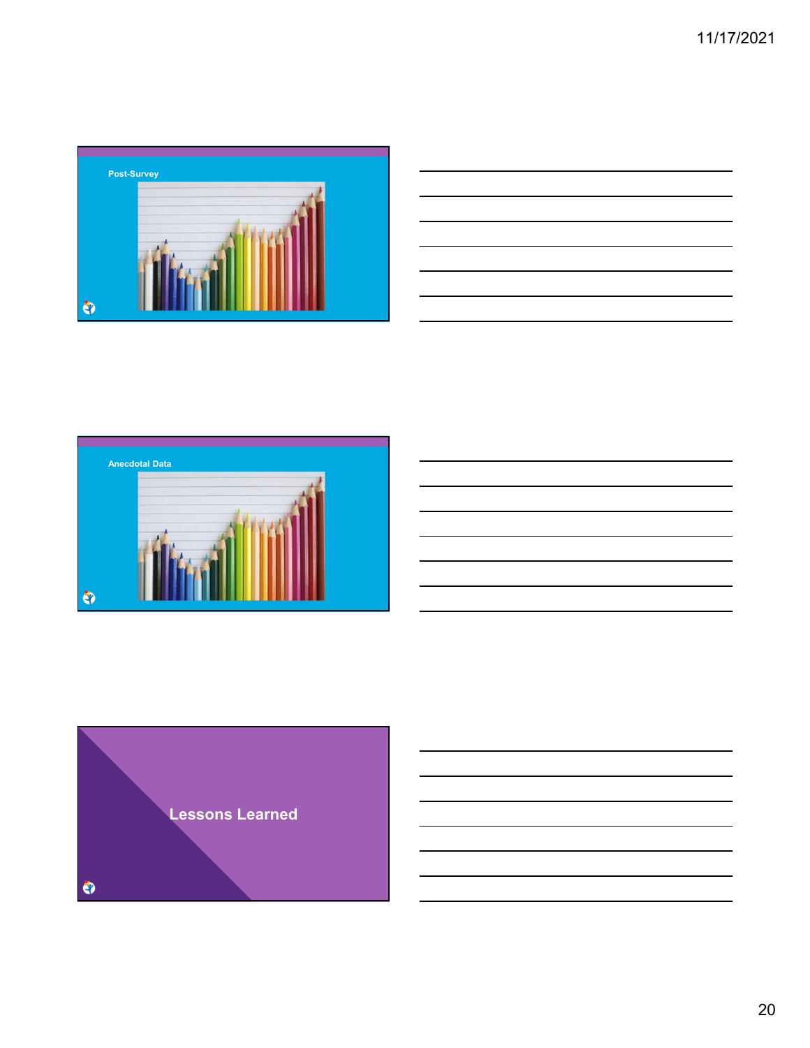

| <u> 1988 - Johann Stoff, amerikansk foarmen fan de Fryske kommunent fan de Fryske kommunent fan de Fryske kommun</u> |  |     |
|----------------------------------------------------------------------------------------------------------------------|--|-----|
|                                                                                                                      |  |     |
| and the contract of the contract of the contract of the contract of the contract of the contract of the contract of  |  | ___ |
|                                                                                                                      |  |     |
| <u> Andreas Andreas Andreas Andreas Andreas Andreas Andreas Andreas Andreas Andreas Andreas Andreas Andreas Andr</u> |  |     |
| and the contract of the contract of the contract of the contract of the contract of the contract of the contract of  |  |     |
| the contract of the contract of the contract of the contract of the contract of                                      |  |     |
|                                                                                                                      |  |     |